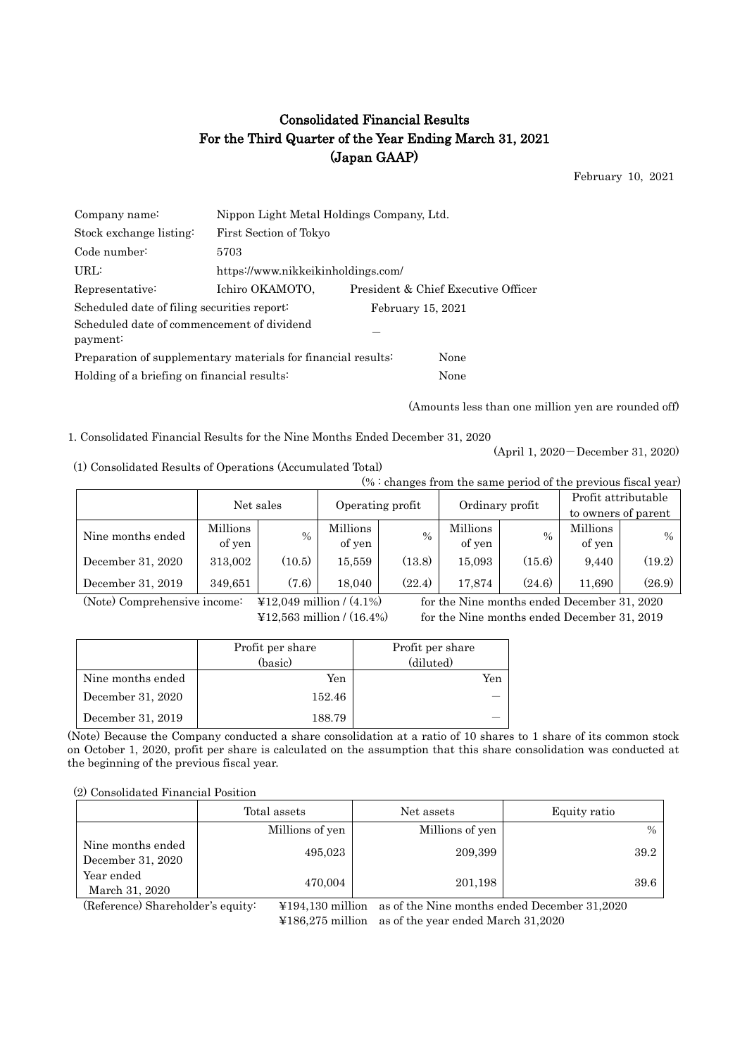## Consolidated Financial Results For the Third Quarter of the Year Ending March 31, 2021 (Japan GAAP)

February 10, 2021

| Company name:                                                 |                                    | Nippon Light Metal Holdings Company, Ltd. |                                     |  |  |  |
|---------------------------------------------------------------|------------------------------------|-------------------------------------------|-------------------------------------|--|--|--|
| Stock exchange listing:                                       | First Section of Tokyo             |                                           |                                     |  |  |  |
| Code number:                                                  | 5703                               |                                           |                                     |  |  |  |
| URL:                                                          | https://www.nikkeikinholdings.com/ |                                           |                                     |  |  |  |
| Representative:                                               | Ichiro OKAMOTO,                    |                                           | President & Chief Executive Officer |  |  |  |
| Scheduled date of filing securities report:                   |                                    | February 15, 2021                         |                                     |  |  |  |
| Scheduled date of commencement of dividend<br>payment:        |                                    |                                           |                                     |  |  |  |
| Preparation of supplementary materials for financial results: |                                    | None                                      |                                     |  |  |  |
| Holding of a briefing on financial results:                   |                                    |                                           | None                                |  |  |  |

(Amounts less than one million yen are rounded off)

1. Consolidated Financial Results for the Nine Months Ended December 31, 2020

(April 1, 2020-December 31, 2020)

| (1) Consolidated Results of Operations (Accumulated Total) |  |  |  |
|------------------------------------------------------------|--|--|--|
|------------------------------------------------------------|--|--|--|

| $% :$ changes from the same period of the previous fiscal year) |           |        |                                                            |               |          |        |                     |               |
|-----------------------------------------------------------------|-----------|--------|------------------------------------------------------------|---------------|----------|--------|---------------------|---------------|
|                                                                 | Net sales |        | Profit attributable<br>Ordinary profit<br>Operating profit |               |          |        |                     |               |
|                                                                 |           |        |                                                            |               |          |        | to owners of parent |               |
| Nine months ended                                               | Millions  | $\%$   | Millions                                                   | $\frac{0}{0}$ | Millions | $\%$   | Millions            | $\frac{0}{0}$ |
|                                                                 | of yen    |        | of yen                                                     |               | of yen   |        | of yen              |               |
| December 31, 2020                                               | 313,002   | (10.5) | 15,559                                                     | (13.8)        | 15,093   | (15.6) | 9.440               | (19.2)        |
| December 31, 2019                                               | 349.651   | (7.6)  | 18.040                                                     | (22.4)        | 17.874   | (24.6) | 11.690              | (26.9)        |

(Note) Comprehensive income: ¥12,049 million / (4.1%) for the Nine months ended December 31, 2020

 $\text{\textsterling}12,563$  million / (16.4%) for the Nine months ended December 31, 2019

|                   | Profit per share<br>(basic) | Profit per share<br>(diluted) |
|-------------------|-----------------------------|-------------------------------|
| Nine months ended | Yen                         | Yen                           |
| December 31, 2020 | 152.46                      |                               |
| December 31, 2019 | 188.79                      |                               |

(Note) Because the Company conducted a share consolidation at a ratio of 10 shares to 1 share of its common stock on October 1, 2020, profit per share is calculated on the assumption that this share consolidation was conducted at the beginning of the previous fiscal year.

#### (2) Consolidated Financial Position

|                                        | Total assets    | Net assets      | Equity ratio |
|----------------------------------------|-----------------|-----------------|--------------|
|                                        | Millions of yen | Millions of yen | $\%$         |
| Nine months ended<br>December 31, 2020 | 495,023         | 209,399         | 39.2         |
| Year ended<br>March 31, 2020           | 470,004         | 201,198         | 39.6         |

(Reference) Shareholder's equity: ¥194,130 million as of the Nine months ended December 31,2020 ¥186,275 million as of the year ended March 31,2020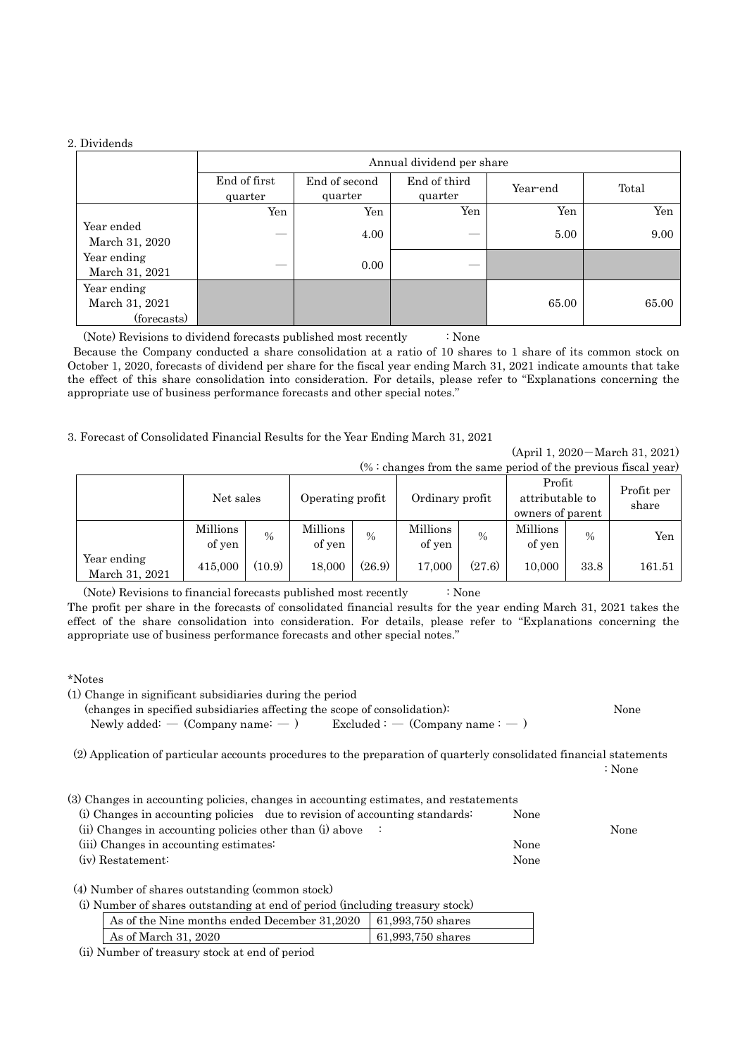#### 2. Dividends

|                                              | Annual dividend per share |                          |                         |          |       |  |  |
|----------------------------------------------|---------------------------|--------------------------|-------------------------|----------|-------|--|--|
|                                              | End of first<br>quarter   | End of second<br>quarter | End of third<br>quarter | Year-end | Total |  |  |
|                                              | Yen                       | Yen                      | Yen                     | Yen      | Yen   |  |  |
| Year ended<br>March 31, 2020                 |                           | 4.00                     |                         | 5.00     | 9.00  |  |  |
| Year ending<br>March 31, 2021                |                           | 0.00                     |                         |          |       |  |  |
| Year ending<br>March 31, 2021<br>(forecasts) |                           |                          |                         | 65.00    | 65.00 |  |  |

(Note) Revisions to dividend forecasts published most recently : None

Because the Company conducted a share consolidation at a ratio of 10 shares to 1 share of its common stock on October 1, 2020, forecasts of dividend per share for the fiscal year ending March 31, 2021 indicate amounts that take the effect of this share consolidation into consideration. For details, please refer to "Explanations concerning the appropriate use of business performance forecasts and other special notes."

3. Forecast of Consolidated Financial Results for the Year Ending March 31, 2021

(April 1, 2020-March 31, 2021)  $(\% :$  changes from the same period of the previous fiscal year)

|                               | Net sales          |               | Operating profit   |        | Ordinary profit    |        | Profit<br>attributable to<br>owners of parent |               | Profit per<br>share |
|-------------------------------|--------------------|---------------|--------------------|--------|--------------------|--------|-----------------------------------------------|---------------|---------------------|
|                               | Millions<br>of yen | $\frac{0}{0}$ | Millions<br>of yen | $\%$   | Millions<br>of yen | $\%$   | <b>Millions</b><br>of yen                     | $\frac{0}{0}$ | Yen                 |
| Year ending<br>March 31, 2021 | 415,000            | (10.9)        | 18,000             | (26.9) | 17.000             | (27.6) | 10,000                                        | 33.8          | 161.51              |

(Note) Revisions to financial forecasts published most recently : None

The profit per share in the forecasts of consolidated financial results for the year ending March 31, 2021 takes the effect of the share consolidation into consideration. For details, please refer to "Explanations concerning the appropriate use of business performance forecasts and other special notes."

### \*Notes

|  |  |  |  | (1) Change in significant subsidiaries during the period |  |  |  |
|--|--|--|--|----------------------------------------------------------|--|--|--|
|--|--|--|--|----------------------------------------------------------|--|--|--|

(changes in specified subsidiaries affecting the scope of consolidation): None

Newly added: — (Company name:  $-$  ) Excluded : — (Company name:  $-$  )

(2) Application of particular accounts procedures to the preparation of quarterly consolidated financial statements

: None

(3) Changes in accounting policies, changes in accounting estimates, and restatements

| (i) Changes in accounting policies due to revision of accounting standards: | None |      |
|-----------------------------------------------------------------------------|------|------|
| (ii) Changes in accounting policies other than (i) above $\therefore$       |      | None |
| (iii) Changes in accounting estimates:                                      | None |      |
| (iv) Restatement:                                                           | None |      |

(4) Number of shares outstanding (common stock)

(i) Number of shares outstanding at end of period (including treasury stock)

| As of the Nine months ended December $31,2020$   61,993,750 shares |                     |
|--------------------------------------------------------------------|---------------------|
| As of March 31, 2020                                               | $61,993,750$ shares |

(ii) Number of treasury stock at end of period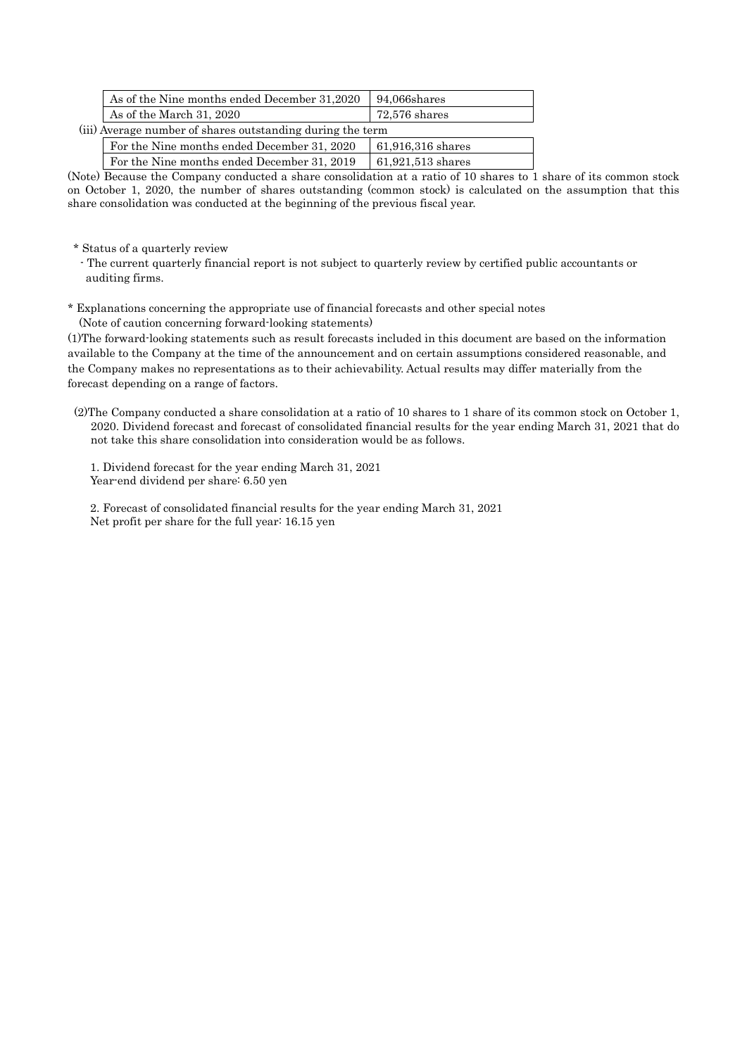| As of the Nine months ended December 31,2020               | 94,066shares        |  |  |  |  |
|------------------------------------------------------------|---------------------|--|--|--|--|
| As of the March 31, 2020                                   | $72.576$ shares     |  |  |  |  |
| (iii) Average number of shares outstanding during the term |                     |  |  |  |  |
| For the Nine months ended December 31, 2020                | 61,916,316 shares   |  |  |  |  |
| For the Nine months ended December 31, 2019                | $61,921,513$ shares |  |  |  |  |
|                                                            |                     |  |  |  |  |

(Note) Because the Company conducted a share consolidation at a ratio of 10 shares to 1 share of its common stock on October 1, 2020, the number of shares outstanding (common stock) is calculated on the assumption that this share consolidation was conducted at the beginning of the previous fiscal year.

\* Status of a quarterly review

- The current quarterly financial report is not subject to quarterly review by certified public accountants or auditing firms.

\* Explanations concerning the appropriate use of financial forecasts and other special notes (Note of caution concerning forward-looking statements)

(1)The forward-looking statements such as result forecasts included in this document are based on the information available to the Company at the time of the announcement and on certain assumptions considered reasonable, and the Company makes no representations as to their achievability. Actual results may differ materially from the forecast depending on a range of factors.

(2)The Company conducted a share consolidation at a ratio of 10 shares to 1 share of its common stock on October 1, 2020. Dividend forecast and forecast of consolidated financial results for the year ending March 31, 2021 that do not take this share consolidation into consideration would be as follows.

1. Dividend forecast for the year ending March 31, 2021 Year-end dividend per share: 6.50 yen

2. Forecast of consolidated financial results for the year ending March 31, 2021 Net profit per share for the full year: 16.15 yen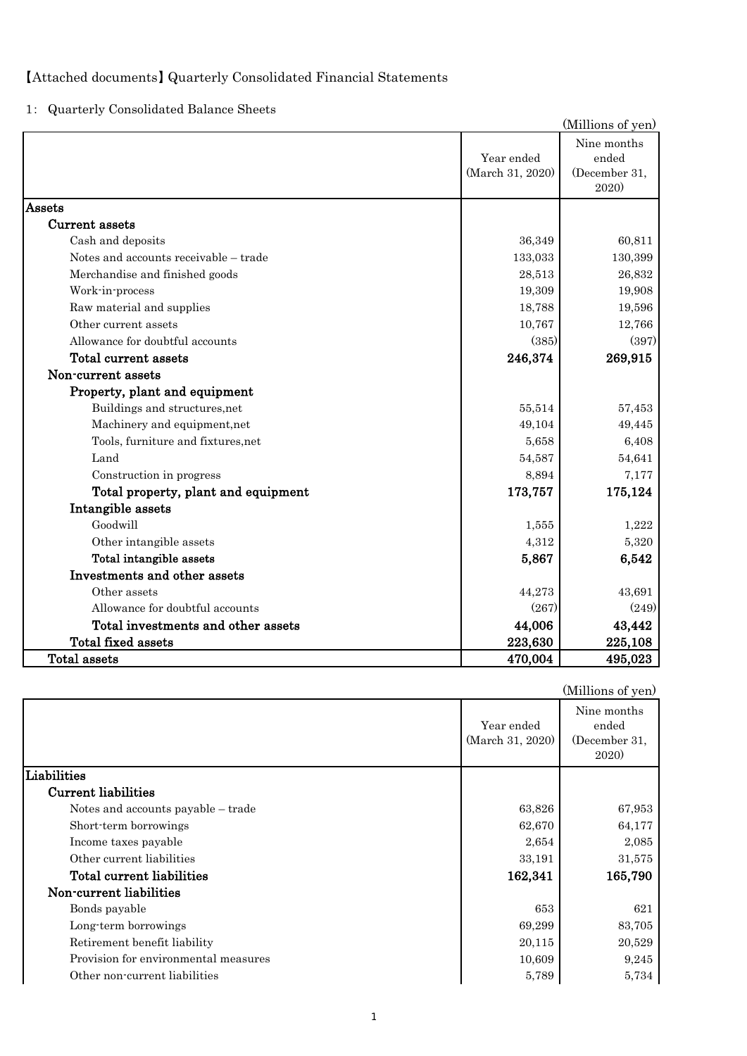# 【Attached documents】 Quarterly Consolidated Financial Statements

1: Quarterly Consolidated Balance Sheets

|                                       |                                | (Millions of yen)                              |
|---------------------------------------|--------------------------------|------------------------------------------------|
|                                       | Year ended<br>(March 31, 2020) | Nine months<br>ended<br>(December 31,<br>2020) |
| Assets                                |                                |                                                |
| Current assets                        |                                |                                                |
| Cash and deposits                     | 36,349                         | 60,811                                         |
| Notes and accounts receivable - trade | 133,033                        | 130,399                                        |
| Merchandise and finished goods        | 28,513                         | 26,832                                         |
| Work-in-process                       | 19,309                         | 19,908                                         |
| Raw material and supplies             | 18,788                         | 19,596                                         |
| Other current assets                  | 10,767                         | 12,766                                         |
| Allowance for doubtful accounts       | (385)                          | (397)                                          |
| Total current assets                  | 246,374                        | 269,915                                        |
| Non-current assets                    |                                |                                                |
| Property, plant and equipment         |                                |                                                |
| Buildings and structures, net         | 55,514                         | 57,453                                         |
| Machinery and equipment, net          | 49,104                         | 49,445                                         |
| Tools, furniture and fixtures,net     | 5,658                          | 6,408                                          |
| Land                                  | 54,587                         | 54,641                                         |
| Construction in progress              | 8,894                          | 7,177                                          |
| Total property, plant and equipment   | 173,757                        | 175,124                                        |
| Intangible assets                     |                                |                                                |
| Goodwill                              | 1,555                          | 1,222                                          |
| Other intangible assets               | 4,312                          | 5,320                                          |
| Total intangible assets               | 5,867                          | 6,542                                          |
| Investments and other assets          |                                |                                                |
| Other assets                          | 44,273                         | 43,691                                         |
| Allowance for doubtful accounts       | (267)                          | (249)                                          |
| Total investments and other assets    | 44,006                         | 43,442                                         |
| Total fixed assets                    | 223,630                        | 225,108                                        |
| <b>Total assets</b>                   | 470,004                        | 495,023                                        |

|                                      |                                | (Millions of yen)                                    |
|--------------------------------------|--------------------------------|------------------------------------------------------|
|                                      | Year ended<br>(March 31, 2020) | Nine months<br>ended<br>(December 31,<br><b>2020</b> |
| Liabilities                          |                                |                                                      |
| <b>Current liabilities</b>           |                                |                                                      |
| Notes and accounts payable – trade   | 63,826                         | 67,953                                               |
| Short-term borrowings                | 62,670                         | 64,177                                               |
| Income taxes payable                 | 2,654                          | 2,085                                                |
| Other current liabilities            | 33,191                         | 31,575                                               |
| Total current liabilities            | 162,341                        | 165,790                                              |
| Non-current liabilities              |                                |                                                      |
| Bonds payable                        | 653                            | 621                                                  |
| Long-term borrowings                 | 69,299                         | 83,705                                               |
| Retirement benefit liability         | 20,115                         | 20,529                                               |
| Provision for environmental measures | 10,609                         | 9,245                                                |
| Other non-current liabilities        | 5,789                          | 5,734                                                |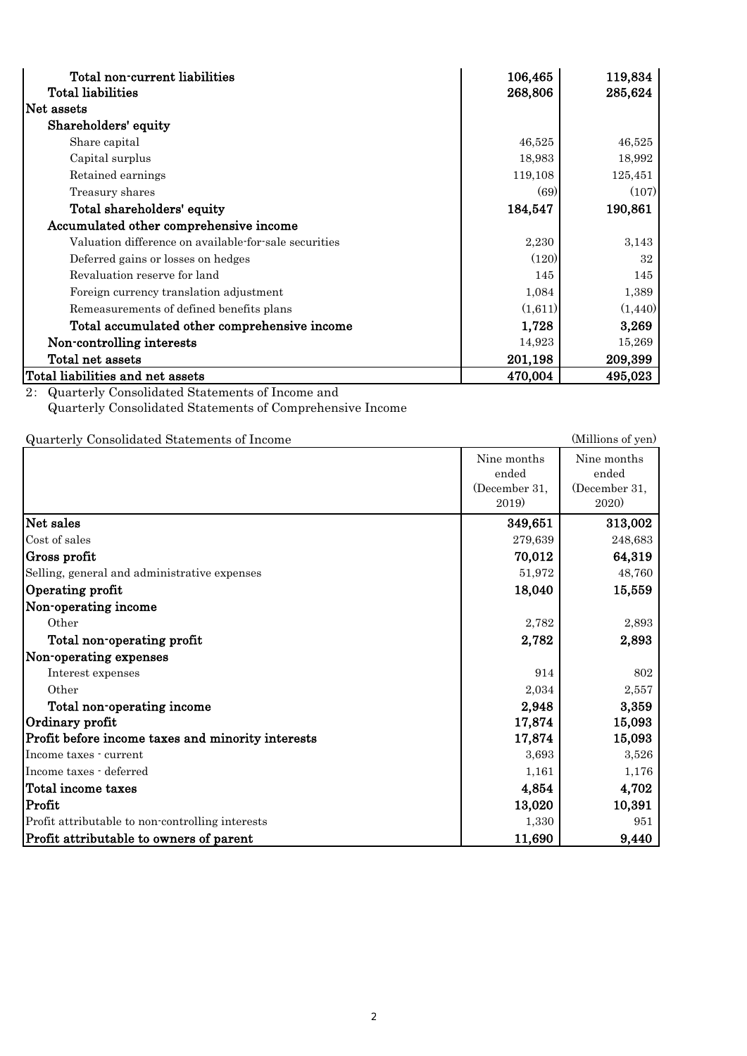| Total non-current liabilities                         | 106,465 | 119,834  |
|-------------------------------------------------------|---------|----------|
| <b>Total liabilities</b>                              | 268,806 | 285,624  |
| Net assets                                            |         |          |
| Shareholders' equity                                  |         |          |
| Share capital                                         | 46,525  | 46,525   |
| Capital surplus                                       | 18,983  | 18,992   |
| Retained earnings                                     | 119,108 | 125,451  |
| Treasury shares                                       | (69)    | (107)    |
| Total shareholders' equity                            | 184,547 | 190,861  |
| Accumulated other comprehensive income                |         |          |
| Valuation difference on available-for-sale securities | 2,230   | 3,143    |
| Deferred gains or losses on hedges                    | (120)   | 32       |
| Revaluation reserve for land                          | 145     | 145      |
| Foreign currency translation adjustment               | 1,084   | 1,389    |
| Remeasurements of defined benefits plans              | (1,611) | (1, 440) |
| Total accumulated other comprehensive income          | 1,728   | 3,269    |
| Non-controlling interests                             | 14,923  | 15,269   |
| Total net assets                                      | 201,198 | 209,399  |
| Total liabilities and net assets                      | 470,004 | 495,023  |

2: Quarterly Consolidated Statements of Income and Quarterly Consolidated Statements of Comprehensive Income

Quarterly Consolidated Statements of Income (Millions of yen)

|                                                   | Nine months<br>ended<br>(December 31,<br>2019) | Nine months<br>ended<br>(December 31,<br><b>2020</b> |
|---------------------------------------------------|------------------------------------------------|------------------------------------------------------|
| Net sales                                         | 349,651                                        | 313,002                                              |
| Cost of sales                                     | 279,639                                        | 248,683                                              |
| Gross profit                                      | 70,012                                         | 64,319                                               |
| Selling, general and administrative expenses      | 51,972                                         | 48,760                                               |
| Operating profit                                  | 18,040                                         | 15,559                                               |
| Non-operating income                              |                                                |                                                      |
| Other                                             | 2,782                                          | 2,893                                                |
| Total non-operating profit                        | 2,782                                          | 2,893                                                |
| Non-operating expenses                            |                                                |                                                      |
| Interest expenses                                 | 914                                            | 802                                                  |
| Other                                             | 2,034                                          | 2,557                                                |
| Total non-operating income                        | 2,948                                          | 3,359                                                |
| Ordinary profit                                   | 17,874                                         | 15,093                                               |
| Profit before income taxes and minority interests | 17,874                                         | 15,093                                               |
| Income taxes - current                            | 3,693                                          | 3,526                                                |
| Income taxes - deferred                           | 1,161                                          | 1,176                                                |
| Total income taxes                                | 4,854                                          | 4,702                                                |
| Profit                                            | 13,020                                         | 10,391                                               |
| Profit attributable to non-controlling interests  | 1,330                                          | 951                                                  |
| Profit attributable to owners of parent           | 11,690                                         | 9,440                                                |